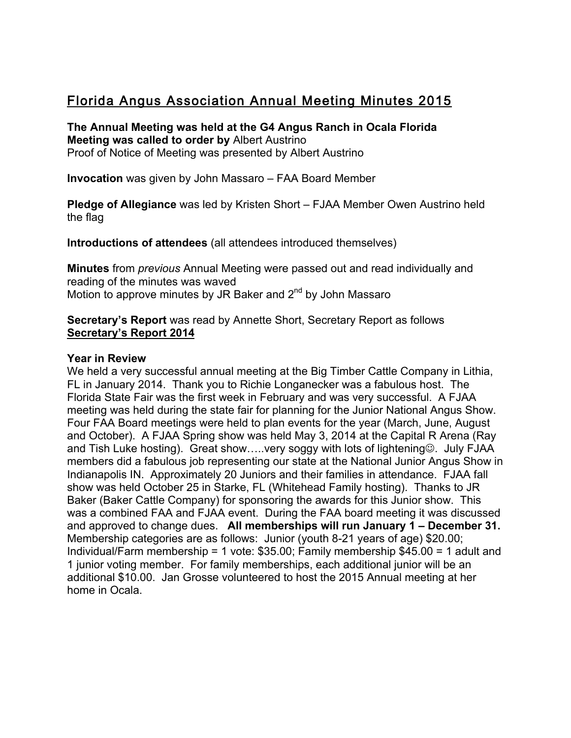# Florida Angus Association Annual Meeting Minutes 2015

**The Annual Meeting was held at the G4 Angus Ranch in Ocala Florida Meeting was called to order by** Albert Austrino Proof of Notice of Meeting was presented by Albert Austrino

**Invocation** was given by John Massaro – FAA Board Member

**Pledge of Allegiance** was led by Kristen Short – FJAA Member Owen Austrino held the flag

**Introductions of attendees** (all attendees introduced themselves)

**Minutes** from *previous* Annual Meeting were passed out and read individually and reading of the minutes was waved Motion to approve minutes by JR Baker and  $2^{nd}$  by John Massaro

**Secretary's Report** was read by Annette Short, Secretary Report as follows **Secretary's Report 2014**

#### **Year in Review**

We held a very successful annual meeting at the Big Timber Cattle Company in Lithia, FL in January 2014. Thank you to Richie Longanecker was a fabulous host. The Florida State Fair was the first week in February and was very successful. A FJAA meeting was held during the state fair for planning for the Junior National Angus Show. Four FAA Board meetings were held to plan events for the year (March, June, August and October). A FJAA Spring show was held May 3, 2014 at the Capital R Arena (Ray and Tish Luke hosting). Great show.....very soggy with lots of lightening. July FJAA members did a fabulous job representing our state at the National Junior Angus Show in Indianapolis IN. Approximately 20 Juniors and their families in attendance. FJAA fall show was held October 25 in Starke, FL (Whitehead Family hosting). Thanks to JR Baker (Baker Cattle Company) for sponsoring the awards for this Junior show. This was a combined FAA and FJAA event. During the FAA board meeting it was discussed and approved to change dues. **All memberships will run January 1 – December 31.**  Membership categories are as follows: Junior (youth 8-21 years of age) \$20.00; Individual/Farm membership = 1 vote: \$35.00; Family membership \$45.00 = 1 adult and 1 junior voting member. For family memberships, each additional junior will be an additional \$10.00. Jan Grosse volunteered to host the 2015 Annual meeting at her home in Ocala.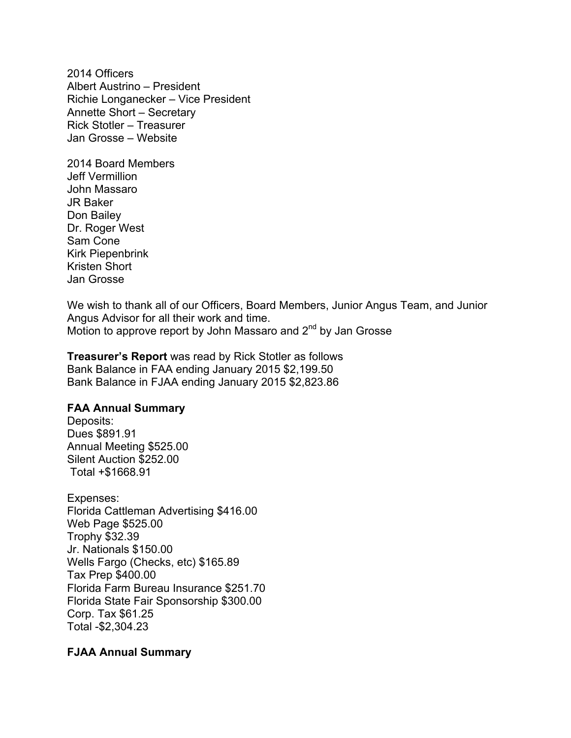2014 Officers Albert Austrino – President Richie Longanecker – Vice President Annette Short – Secretary Rick Stotler – Treasurer Jan Grosse – Website

2014 Board Members Jeff Vermillion John Massaro JR Baker Don Bailey Dr. Roger West Sam Cone Kirk Piepenbrink Kristen Short Jan Grosse

We wish to thank all of our Officers, Board Members, Junior Angus Team, and Junior Angus Advisor for all their work and time. Motion to approve report by John Massaro and 2<sup>nd</sup> by Jan Grosse

**Treasurer's Report** was read by Rick Stotler as follows Bank Balance in FAA ending January 2015 \$2,199.50 Bank Balance in FJAA ending January 2015 \$2,823.86

#### **FAA Annual Summary**

Deposits: Dues \$891.91 Annual Meeting \$525.00 Silent Auction \$252.00 Total +\$1668.91

Expenses: Florida Cattleman Advertising \$416.00 Web Page \$525.00 Trophy \$32.39 Jr. Nationals \$150.00 Wells Fargo (Checks, etc) \$165.89 Tax Prep \$400.00 Florida Farm Bureau Insurance \$251.70 Florida State Fair Sponsorship \$300.00 Corp. Tax \$61.25 Total -\$2,304.23

# **FJAA Annual Summary**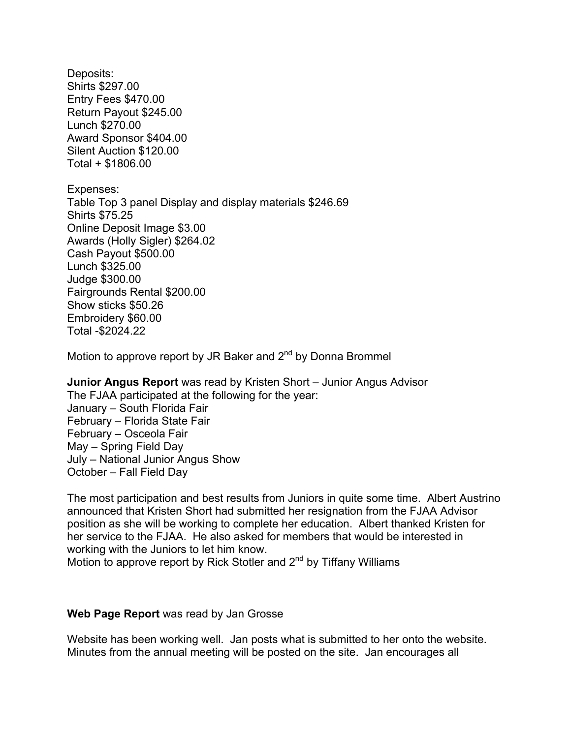Deposits: Shirts \$297.00 Entry Fees \$470.00 Return Payout \$245.00 Lunch \$270.00 Award Sponsor \$404.00 Silent Auction \$120.00 Total + \$1806.00

Expenses: Table Top 3 panel Display and display materials \$246.69 Shirts \$75.25 Online Deposit Image \$3.00 Awards (Holly Sigler) \$264.02 Cash Payout \$500.00 Lunch \$325.00 Judge \$300.00 Fairgrounds Rental \$200.00 Show sticks \$50.26 Embroidery \$60.00 Total -\$2024.22

Motion to approve report by JR Baker and  $2^{nd}$  by Donna Brommel

**Junior Angus Report** was read by Kristen Short – Junior Angus Advisor The FJAA participated at the following for the year: January – South Florida Fair February – Florida State Fair February – Osceola Fair May – Spring Field Day July – National Junior Angus Show October – Fall Field Day

The most participation and best results from Juniors in quite some time. Albert Austrino announced that Kristen Short had submitted her resignation from the FJAA Advisor position as she will be working to complete her education. Albert thanked Kristen for her service to the FJAA. He also asked for members that would be interested in working with the Juniors to let him know.

Motion to approve report by Rick Stotler and 2<sup>nd</sup> by Tiffany Williams

# **Web Page Report** was read by Jan Grosse

Website has been working well. Jan posts what is submitted to her onto the website. Minutes from the annual meeting will be posted on the site. Jan encourages all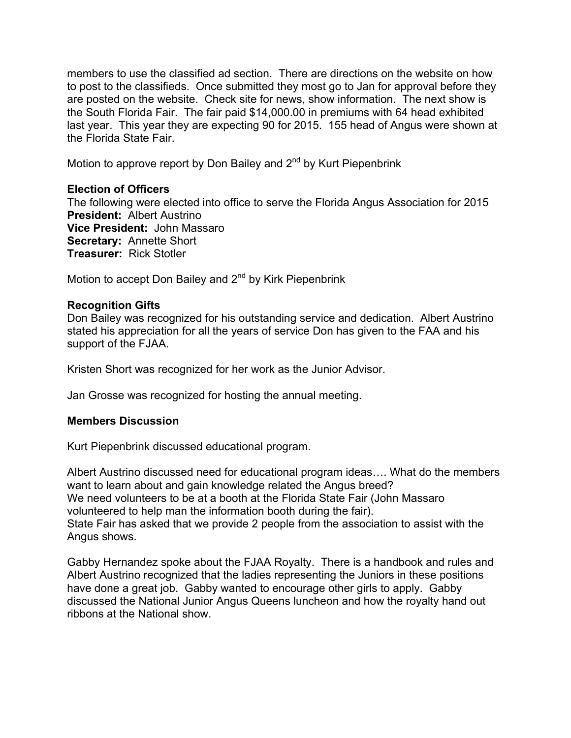members to use the classified ad section. There are directions on the website on how to post to the classifieds. Once submitted they most go to Jan for approval before they are posted on the website. Check site for news, show information. The next show is the South Florida Fair. The fair paid \$14,000.00 in premiums with 64 head exhibited last year. This year they are expecting 90 for 2015. 155 head of Angus were shown at the Florida State Fair.

Motion to approve report by Don Bailey and 2<sup>nd</sup> by Kurt Piepenbrink

# **Election of Officers**

The following were elected into office to serve the Florida Angus Association for 2015 **President:** Albert Austrino **Vice President:** John Massaro **Secretary:** Annette Short **Treasurer:** Rick Stotler

Motion to accept Don Bailey and  $2^{nd}$  by Kirk Piepenbrink

# **Recognition Gifts**

Don Bailey was recognized for his outstanding service and dedication. Albert Austrino stated his appreciation for all the years of service Don has given to the FAA and his support of the FJAA.

Kristen Short was recognized for her work as the Junior Advisor.

Jan Grosse was recognized for hosting the annual meeting.

# **Members Discussion**

Kurt Piepenbrink discussed educational program.

Albert Austrino discussed need for educational program ideas…. What do the members want to learn about and gain knowledge related the Angus breed? We need volunteers to be at a booth at the Florida State Fair (John Massaro volunteered to help man the information booth during the fair). State Fair has asked that we provide 2 people from the association to assist with the Angus shows.

Gabby Hernandez spoke about the FJAA Royalty. There is a handbook and rules and Albert Austrino recognized that the ladies representing the Juniors in these positions have done a great job. Gabby wanted to encourage other girls to apply. Gabby discussed the National Junior Angus Queens luncheon and how the royalty hand out ribbons at the National show.